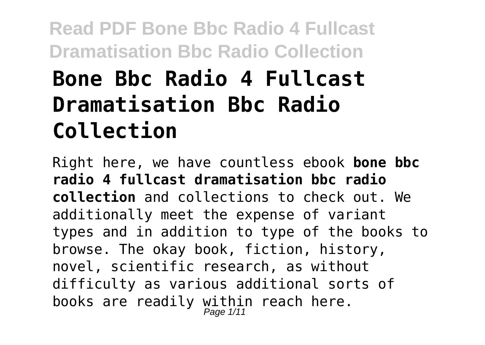# **Bone Bbc Radio 4 Fullcast Dramatisation Bbc Radio Collection**

Right here, we have countless ebook **bone bbc radio 4 fullcast dramatisation bbc radio collection** and collections to check out. We additionally meet the expense of variant types and in addition to type of the books to browse. The okay book, fiction, history, novel, scientific research, as without difficulty as various additional sorts of books are readily within reach here.<br> $_{Page 1/11}^{Page 1/11}$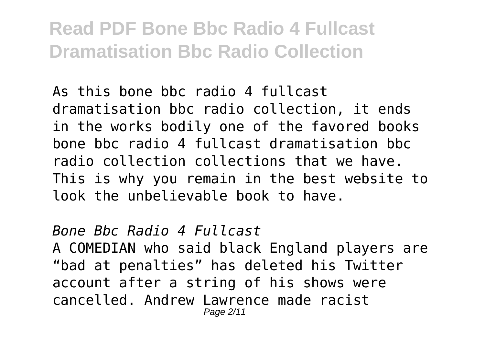As this bone bbc radio 4 fullcast dramatisation bbc radio collection, it ends in the works bodily one of the favored books bone bbc radio 4 fullcast dramatisation bbc radio collection collections that we have. This is why you remain in the best website to look the unbelievable book to have.

#### *Bone Bbc Radio 4 Fullcast*

A COMEDIAN who said black England players are "bad at penalties" has deleted his Twitter account after a string of his shows were cancelled. Andrew Lawrence made racist Page 2/11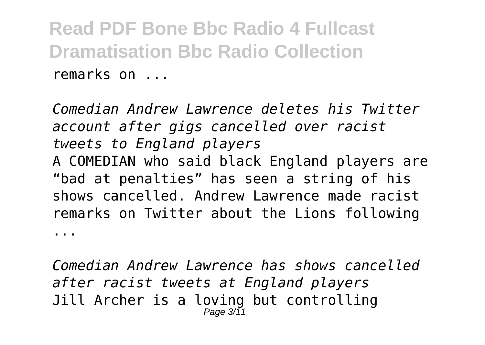*Comedian Andrew Lawrence deletes his Twitter account after gigs cancelled over racist tweets to England players* A COMEDIAN who said black England players are "bad at penalties" has seen a string of his shows cancelled. Andrew Lawrence made racist remarks on Twitter about the Lions following ...

*Comedian Andrew Lawrence has shows cancelled after racist tweets at England players* Jill Archer is a loving but controlling Page  $3/11$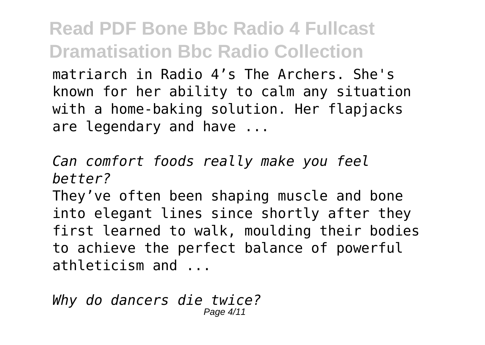matriarch in Radio 4's The Archers. She's known for her ability to calm any situation with a home-baking solution. Her flapjacks are legendary and have ...

*Can comfort foods really make you feel better?*

They've often been shaping muscle and bone into elegant lines since shortly after they first learned to walk, moulding their bodies to achieve the perfect balance of powerful athleticism and ...

*Why do dancers die twice?* Page 4/11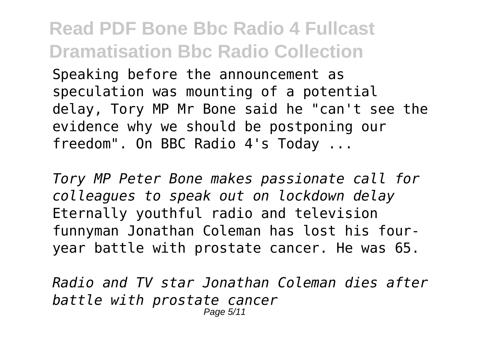Speaking before the announcement as speculation was mounting of a potential delay, Tory MP Mr Bone said he "can't see the evidence why we should be postponing our freedom". On BBC Radio 4's Today ...

*Tory MP Peter Bone makes passionate call for colleagues to speak out on lockdown delay* Eternally youthful radio and television funnyman Jonathan Coleman has lost his fouryear battle with prostate cancer. He was 65.

*Radio and TV star Jonathan Coleman dies after battle with prostate cancer* Page 5/11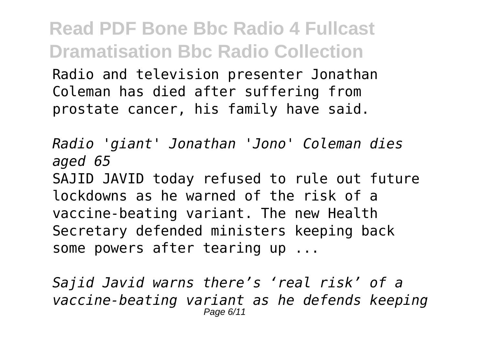**Read PDF Bone Bbc Radio 4 Fullcast Dramatisation Bbc Radio Collection** Radio and television presenter Jonathan Coleman has died after suffering from prostate cancer, his family have said.

*Radio 'giant' Jonathan 'Jono' Coleman dies aged 65* SAJID JAVID today refused to rule out future

lockdowns as he warned of the risk of a vaccine-beating variant. The new Health Secretary defended ministers keeping back some powers after tearing up ...

*Sajid Javid warns there's 'real risk' of a vaccine-beating variant as he defends keeping* Page 6/11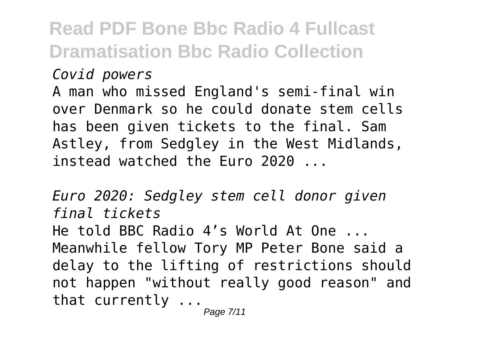#### *Covid powers*

A man who missed England's semi-final win over Denmark so he could donate stem cells has been given tickets to the final. Sam Astley, from Sedgley in the West Midlands, instead watched the Euro 2020 ...

*Euro 2020: Sedgley stem cell donor given final tickets* He told BBC Radio 4's World At One ... Meanwhile fellow Tory MP Peter Bone said a delay to the lifting of restrictions should not happen "without really good reason" and that currently ...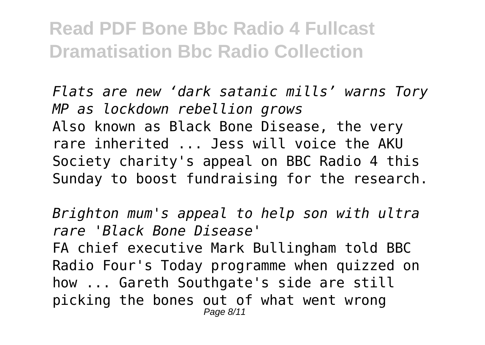*Flats are new 'dark satanic mills' warns Tory MP as lockdown rebellion grows* Also known as Black Bone Disease, the very rare inherited ... Jess will voice the AKU Society charity's appeal on BBC Radio 4 this Sunday to boost fundraising for the research.

*Brighton mum's appeal to help son with ultra rare 'Black Bone Disease'* FA chief executive Mark Bullingham told BBC Radio Four's Today programme when quizzed on how ... Gareth Southgate's side are still picking the bones out of what went wrong Page 8/11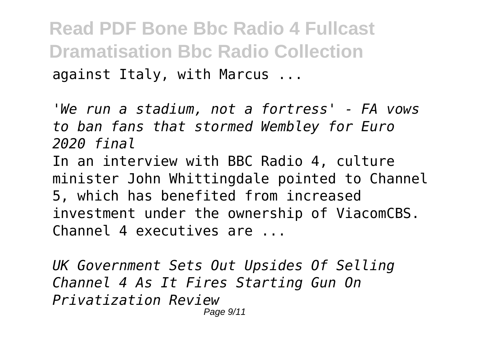**Read PDF Bone Bbc Radio 4 Fullcast Dramatisation Bbc Radio Collection** against Italy, with Marcus ...

*'We run a stadium, not a fortress' - FA vows to ban fans that stormed Wembley for Euro 2020 final*

In an interview with BBC Radio 4, culture minister John Whittingdale pointed to Channel 5, which has benefited from increased investment under the ownership of ViacomCBS. Channel 4 executives are ...

*UK Government Sets Out Upsides Of Selling Channel 4 As It Fires Starting Gun On Privatization Review* Page 9/11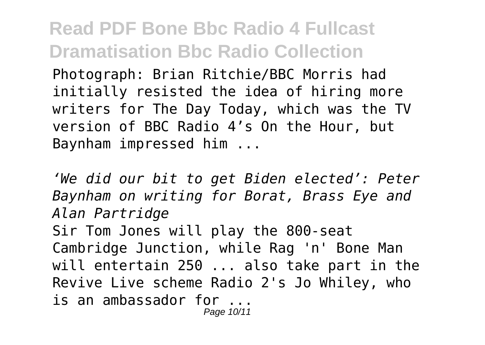Photograph: Brian Ritchie/BBC Morris had initially resisted the idea of hiring more writers for The Day Today, which was the TV version of BBC Radio 4's On the Hour, but Baynham impressed him ...

*'We did our bit to get Biden elected': Peter Baynham on writing for Borat, Brass Eye and Alan Partridge* Sir Tom Jones will play the 800-seat Cambridge Junction, while Rag 'n' Bone Man will entertain 250 ... also take part in the Revive Live scheme Radio 2's Jo Whiley, who is an ambassador for ... Page 10/11